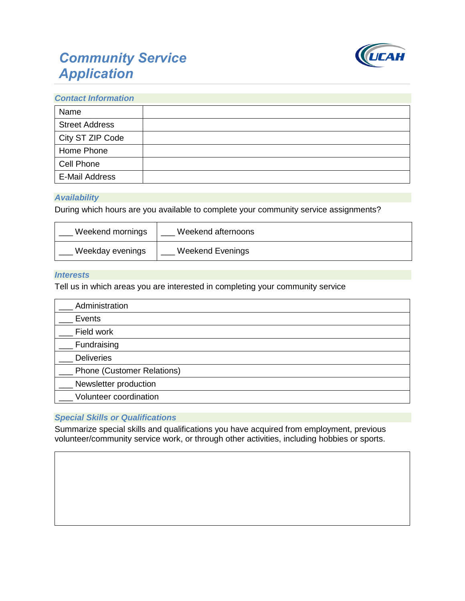# *Community Service Application*



#### *Contact Information*

| Name                  |  |
|-----------------------|--|
| <b>Street Address</b> |  |
| City ST ZIP Code      |  |
| Home Phone            |  |
| Cell Phone            |  |
| E-Mail Address        |  |

## *Availability*

During which hours are you available to complete your community service assignments?

| Weekend mornings | Weekend afternoons |
|------------------|--------------------|
| Weekday evenings | Weekend Evenings   |

#### *Interests*

Tell us in which areas you are interested in completing your community service

| Administration                    |  |  |
|-----------------------------------|--|--|
| Events                            |  |  |
| Field work                        |  |  |
| Fundraising                       |  |  |
| <b>Deliveries</b>                 |  |  |
| <b>Phone (Customer Relations)</b> |  |  |
| Newsletter production             |  |  |
| Volunteer coordination            |  |  |

## *Special Skills or Qualifications*

Summarize special skills and qualifications you have acquired from employment, previous volunteer/community service work, or through other activities, including hobbies or sports.